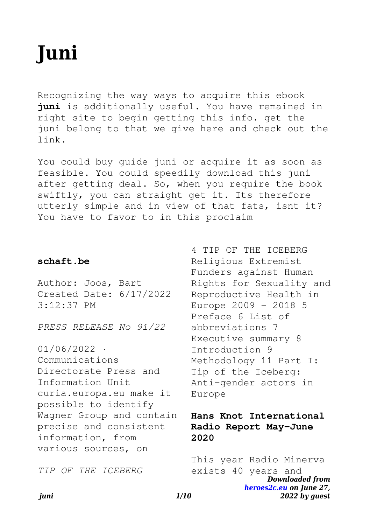# **Juni**

Recognizing the way ways to acquire this ebook **juni** is additionally useful. You have remained in right site to begin getting this info. get the juni belong to that we give here and check out the link.

You could buy guide juni or acquire it as soon as feasible. You could speedily download this juni after getting deal. So, when you require the book swiftly, you can straight get it. Its therefore utterly simple and in view of that fats, isnt it? You have to favor to in this proclaim

## **schaft.be**

Author: Joos, Bart Created Date: 6/17/2022 3:12:37 PM

*PRESS RELEASE No 91/22*

01/06/2022 · Communications Directorate Press and Information Unit curia.europa.eu make it possible to identify Wagner Group and contain precise and consistent information, from various sources, on

*TIP OF THE ICEBERG*

4 TIP OF THE ICEBERG Religious Extremist Funders against Human Rights for Sexuality and Reproductive Health in Europe 2009 – 2018 5 Preface 6 List of abbreviations 7 Executive summary 8 Introduction 9 Methodology 11 Part I: Tip of the Iceberg: Anti-gender actors in Europe

# **Hans Knot International Radio Report May-June 2020**

*Downloaded from [heroes2c.eu](http://heroes2c.eu) on June 27, 2022 by guest* This year Radio Minerva exists 40 years and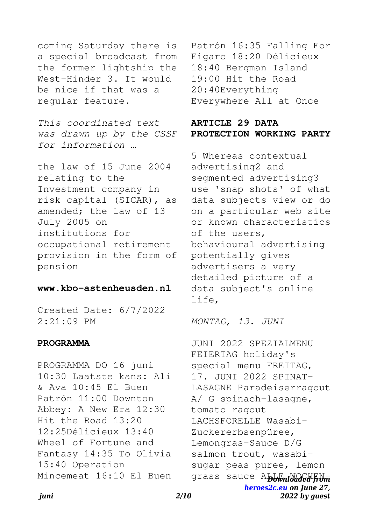coming Saturday there is a special broadcast from the former lightship the West-Hinder 3. It would be nice if that was a regular feature.

*This coordinated text was drawn up by the CSSF for information …*

the law of 15 June 2004 relating to the Investment company in risk capital (SICAR), as amended; the law of 13 July 2005 on institutions for occupational retirement provision in the form of pension

#### **www.kbo-astenheusden.nl**

Created Date: 6/7/2022 2:21:09 PM

#### **PROGRAMMA**

PROGRAMMA DO 16 juni 10:30 Laatste kans: Ali & Ava 10:45 El Buen Patrón 11:00 Downton Abbey: A New Era 12:30 Hit the Road 13:20 12:25Délicieux 13:40 Wheel of Fortune and Fantasy 14:35 To Olivia 15:40 Operation Mincemeat 16:10 El Buen Patrón 16:35 Falling For Figaro 18:20 Délicieux 18:40 Bergman Island 19:00 Hit the Road 20:40Everything Everywhere All at Once

## **ARTICLE 29 DATA PROTECTION WORKING PARTY**

5 Whereas contextual advertising2 and segmented advertising3 use 'snap shots' of what data subjects view or do on a particular web site or known characteristics of the users, behavioural advertising potentially gives advertisers a very detailed picture of a data subject's online life,

*MONTAG, 13. JUNI*

grass sauce Abbwnloaded from *[heroes2c.eu](http://heroes2c.eu) on June 27, 2022 by guest* JUNI 2022 SPEZIALMENU FEIERTAG holiday's special menu FREITAG, 17. JUNI 2022 SPINAT-LASAGNE Paradeiserragout A/ G spinach-lasagne, tomato ragout LACHSFORELLE Wasabi-Zuckererbsenpüree, Lemongras-Sauce D/G salmon trout, wasabisugar peas puree, lemon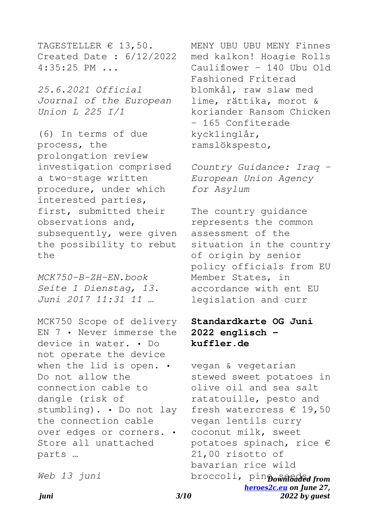TAGESTELLER € 13,50. Created Date : 6/12/2022 4:35:25 PM ...

*25.6.2021 Official Journal of the European Union L 225 I/1*

(6) In terms of due process, the prolongation review investigation comprised a two-stage written procedure, under which interested parties, first, submitted their observations and, subsequently, were given the possibility to rebut  $th$ e

*MCK750-B-ZH-EN.book Seite 1 Dienstag, 13. Juni 2017 11:31 11 …*

MCK750 Scope of delivery EN 7 • Never immerse the device in water. • Do not operate the device when the lid is open. • Do not allow the connection cable to dangle (risk of stumbling). • Do not lay the connection cable over edges or corners. • Store all unattached parts …

*Web 13 juni*

MENY UBU UBU MENY Finnes med kalkon! Hoagie Rolls Cauliflower – 140 Ubu Old Fashioned Friterad blomkål, raw slaw med lime, rättika, morot & koriander Ransom Chicken – 165 Confiterade kycklinglår, ramslökspesto,

*Country Guidance: Iraq - European Union Agency for Asylum*

The country guidance represents the common assessment of the situation in the country of origin by senior policy officials from EU Member States, in accordance with ent EU legislation and curr

# **Standardkarte OG Juni 2022 englisch kuffler.de**

broccoli, pinpownloaded from *[heroes2c.eu](http://heroes2c.eu) on June 27, 2022 by guest* vegan & vegetarian stewed sweet potatoes in olive oil and sea salt ratatouille, pesto and fresh watercress  $\epsilon$  19,50 vegan lentils curry coconut milk, sweet potatoes spinach, rice € 21,00 risotto of bavarian rice wild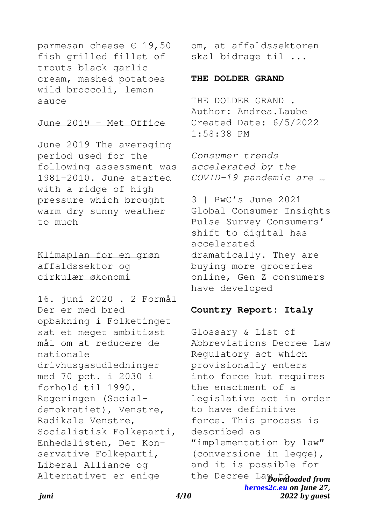parmesan cheese  $\epsilon$  19,50 fish grilled fillet of trouts black garlic cream, mashed potatoes wild broccoli, lemon sauce

#### June 2019 - Met Office

June 2019 The averaging period used for the following assessment was 1981-2010. June started with a ridge of high pressure which brought warm dry sunny weather to much

Klimaplan for en grøn affaldssektor og cirkulær økonomi

16. juni 2020 . 2 Formål Der er med bred opbakning i Folketinget sat et meget ambitiøst mål om at reducere de nationale drivhusgasudledninger med 70 pct. i 2030 i forhold til 1990. Regeringen (Socialdemokratiet), Venstre, Radikale Venstre, Socialistisk Folkeparti, Enhedslisten, Det Konservative Folkeparti, Liberal Alliance og Alternativet er enige

om, at affaldssektoren skal bidrage til ...

#### **THE DOLDER GRAND**

THE DOLDER GRAND . Author: Andrea.Laube Created Date: 6/5/2022 1:58:38 PM

*Consumer trends accelerated by the COVID-19 pandemic are …*

3 | PwC's June 2021 Global Consumer Insights Pulse Survey Consumers' shift to digital has accelerated dramatically. They are buying more groceries online, Gen Z consumers have developed

#### **Country Report: Italy**

the Decree Layownloaded from *[heroes2c.eu](http://heroes2c.eu) on June 27, 2022 by guest* Glossary & List of Abbreviations Decree Law Regulatory act which provisionally enters into force but requires the enactment of a legislative act in order to have definitive force. This process is described as "implementation by law" (conversione in legge), and it is possible for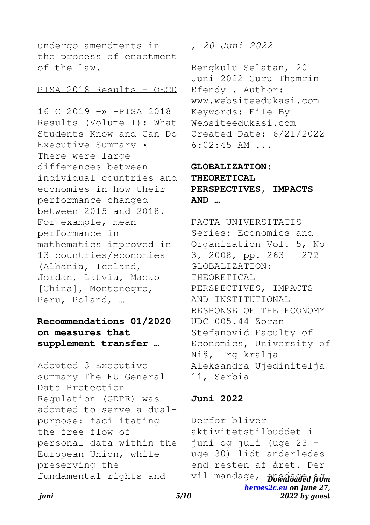undergo amendments in the process of enactment of the law.

#### PISA 2018 Results - OECD

16 C 2019 -» -PISA 2018 Results (Volume I): What Students Know and Can Do Executive Summary • There were large differences between individual countries and economies in how their performance changed between 2015 and 2018. For example, mean performance in mathematics improved in 13 countries/economies (Albania, Iceland, Jordan, Latvia, Macao [China], Montenegro, Peru, Poland, …

# **Recommendations 01/2020 on measures that supplement transfer …**

Adopted 3 Executive summary The EU General Data Protection Regulation (GDPR) was adopted to serve a dualpurpose: facilitating the free flow of personal data within the European Union, while preserving the fundamental rights and

*, 20 Juni 2022*

Bengkulu Selatan, 20 Juni 2022 Guru Thamrin Efendy . Author: www.websiteedukasi.com Keywords: File By Websiteedukasi.com Created Date: 6/21/2022 6:02:45 AM ...

# **GLOBALIZATION: THEORETICAL PERSPECTIVES, IMPACTS AND …**

FACTA UNIVERSITATIS Series: Economics and Organization Vol. 5, No 3, 2008, pp. 263 - 272 GLOBALIZATION: THEORETICAL PERSPECTIVES, IMPACTS AND INSTITUTIONAL RESPONSE OF THE ECONOMY UDC 005.44 Zoran Stefanović Faculty of Economics, University of Niš, Trg kralja Aleksandra Ujedinitelja 11, Serbia

## **Juni 2022**

vil mandage, **Downloaded from** *[heroes2c.eu](http://heroes2c.eu) on June 27, 2022 by guest* Derfor bliver aktivitetstilbuddet i juni og juli (uge 23 – uge 30) lidt anderledes end resten af året. Der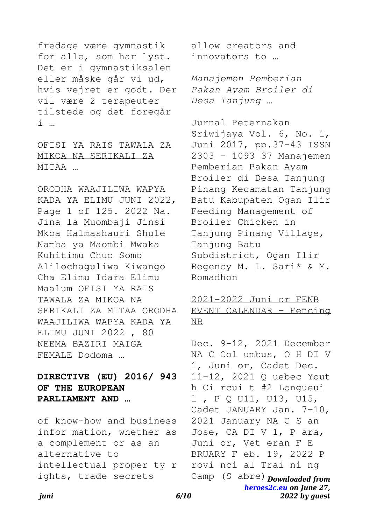fredage være gymnastik for alle, som har lyst. Det er i gymnastiksalen eller måske går vi ud, hvis vejret er godt. Der vil være 2 terapeuter tilstede og det foregår i …

# OFISI YA RAIS TAWALA ZA MIKOA NA SERIKALI ZA MITAA …

ORODHA WAAJILIWA WAPYA KADA YA ELIMU JUNI 2022, Page 1 of 125. 2022 Na. Jina la Muombaji Jinsi Mkoa Halmashauri Shule Namba ya Maombi Mwaka Kuhitimu Chuo Somo Alilochaguliwa Kiwango Cha Elimu Idara Elimu Maalum OFISI YA RAIS TAWALA ZA MIKOA NA SERIKALI ZA MITAA ORODHA WAAJILIWA WAPYA KADA YA ELIMU JUNI 2022 , 80 NEEMA BAZIRI MAIGA FEMALE Dodoma …

**DIRECTIVE (EU) 2016/ 943 OF THE EUROPEAN PARLIAMENT AND …**

of know-how and business infor mation, whether as a complement or as an alternative to intellectual proper ty r ights, trade secrets

allow creators and innovators to …

*Manajemen Pemberian Pakan Ayam Broiler di Desa Tanjung …*

Jurnal Peternakan Sriwijaya Vol. 6, No. 1, Juni 2017, pp.37-43 ISSN 2303 – 1093 37 Manajemen Pemberian Pakan Ayam Broiler di Desa Tanjung Pinang Kecamatan Tanjung Batu Kabupaten Ogan Ilir Feeding Management of Broiler Chicken in Tanjung Pinang Village, Tanjung Batu Subdistrict, Ogan Ilir Regency M. L. Sari\* & M. Romadhon

## 2021-2022 Juni or FENB EVENT CALENDAR - Fencing NB

Camp (S abre) **Downloaded from** *[heroes2c.eu](http://heroes2c.eu) on June 27, 2022 by guest* Dec. 9-12, 2021 December NA C Col umbus, O H DI V 1, Juni or, Cadet Dec. 11-12, 2021 Q uebec Yout h Ci rcui t #2 Longueui l , P Q U11, U13, U15, Cadet JANUARY Jan. 7-10, 2021 January NA C S an Jose, CA DI V 1, P ara, Juni or, Vet eran F E BRUARY F eb. 19, 2022 P rovi nci al Trai ni ng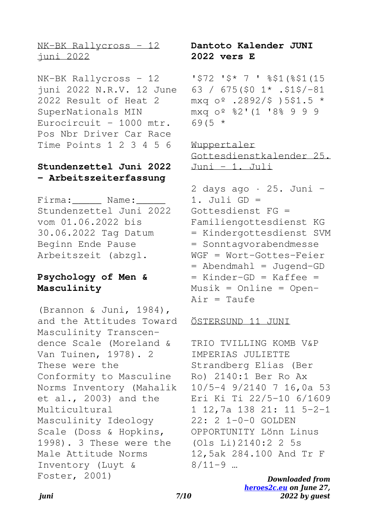NK-BK Rallycross - 12 juni 2022

NK-BK Rallycross - 12 juni 2022 N.R.V. 12 June 2022 Result of Heat 2 SuperNationals MIN Eurocircuit - 1000 mtr. Pos Nbr Driver Car Race Time Points 1 2 3 4 5 6

## **Stundenzettel Juni 2022 - Arbeitszeiterfassung**

Firma: Name: Stundenzettel Juni 2022 vom 01.06.2022 bis 30.06.2022 Tag Datum Beginn Ende Pause Arbeitszeit (abzgl.

# **Psychology of Men & Masculinity**

(Brannon & Juni, 1984), and the Attitudes Toward Masculinity Transcendence Scale (Moreland & Van Tuinen, 1978). 2 These were the Conformity to Masculine Norms Inventory (Mahalik et al., 2003) and the Multicultural Masculinity Ideology Scale (Doss & Hopkins, 1998). 3 These were the Male Attitude Norms Inventory (Luyt & Foster, 2001)

**Dantoto Kalender JUNI 2022 vers E**

'\$72 '\$\* 7 ' %\$1(%\$1(15 63 / 675(\$0 1\* .\$1\$/-81 mxq  $0^{\circ}$  .2892/\$ )5\$1.5 \* mxq oº %2'(1 '8% 9 9 9  $69(5 *$ 

Wuppertaler Gottesdienstkalender 25. Juni  $-1.$  Juli

 $2$  days ago  $\cdot$  25. Juni -1. Juli GD = Gottesdienst FG = Familiengottesdienst KG = Kindergottesdienst SVM = Sonntagvorabendmesse WGF = Wort-Gottes-Feier = Abendmahl = Jugend-GD  $=$  Kinder-GD = Kaffee =  $Musik = Online = Open-$ Air = Taufe

#### ÖSTERSUND 11 JUNI

TRIO TVILLING KOMB V&P IMPERIAS JULIETTE Strandberg Elias (Ber Ro) 2140:1 Ber Ro Ax 10/5-4 9/2140 7 16,0a 53 Eri Ki Ti 22/5-10 6/1609 1 12,7a 138 21: 11 5-2-1 22: 2 1-0-0 GOLDEN OPPORTUNITY Lönn Linus (Ols Li)2140:2 2 5s 12,5ak 284.100 And Tr F  $8/11-9$  …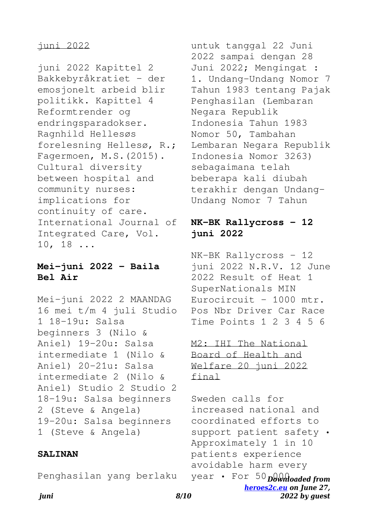## juni 2022

juni 2022 Kapittel 2 Bakkebyråkratiet - der emosjonelt arbeid blir politikk. Kapittel 4 Reformtrender og endringsparadokser. Ragnhild Hellesøs forelesning Hellesø, R.; Fagermoen, M.S.(2015). Cultural diversity between hospital and community nurses: implications for continuity of care. International Journal of Integrated Care, Vol. 10, 18 ...

## **Mei-juni 2022 - Baila Bel Air**

Mei-juni 2022 2 MAANDAG 16 mei t/m 4 juli Studio 1 18-19u: Salsa beginners 3 (Nilo & Aniel) 19-20u: Salsa intermediate 1 (Nilo & Aniel) 20-21u: Salsa intermediate 2 (Nilo & Aniel) Studio 2 Studio 2 18-19u: Salsa beginners 2 (Steve & Angela) 19-20u: Salsa beginners 1 (Steve & Angela)

## **SALINAN**

Penghasilan yang berlaku

untuk tanggal 22 Juni 2022 sampai dengan 28 Juni 2022; Mengingat : 1. Undang-Undang Nomor 7 Tahun 1983 tentang Pajak Penghasilan (Lembaran Negara Republik Indonesia Tahun 1983 Nomor 50, Tambahan Lembaran Negara Republik Indonesia Nomor 3263) sebagaimana telah beberapa kali diubah terakhir dengan Undang-Undang Nomor 7 Tahun

## **NK-BK Rallycross - 12 juni 2022**

NK-BK Rallycross - 12 juni 2022 N.R.V. 12 June 2022 Result of Heat 1 SuperNationals MIN Eurocircuit - 1000 mtr. Pos Nbr Driver Car Race Time Points 1 2 3 4 5 6

M2: IHI The National Board of Health and Welfare 20 juni 2022 final

year • For 50 Downloaded from *[heroes2c.eu](http://heroes2c.eu) on June 27,* Sweden calls for increased national and coordinated efforts to support patient safety • Approximately 1 in 10 patients experience avoidable harm every

*2022 by guest*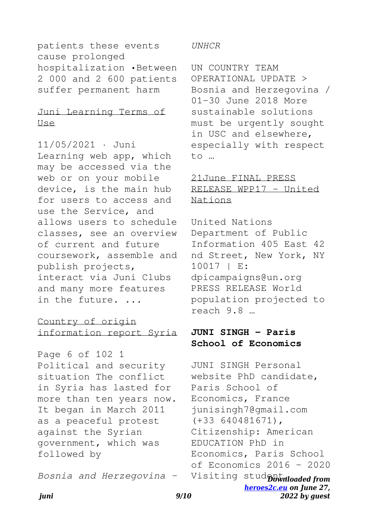patients these events cause prolonged hospitalization •Between 2 000 and 2 600 patients suffer permanent harm

## Juni Learning Terms of Use

11/05/2021 · Juni Learning web app, which may be accessed via the web or on your mobile device, is the main hub for users to access and use the Service, and allows users to schedule classes, see an overview of current and future coursework, assemble and publish projects, interact via Juni Clubs and many more features in the future. ...

# Country of origin information report Syria

Page 6 of 102 1 Political and security situation The conflict in Syria has lasted for more than ten years now. It began in March 2011 as a peaceful protest against the Syrian government, which was followed by

*Bosnia and Herzegovina -*

#### *UNHCR*

UN COUNTRY TEAM OPERATIONAL UPDATE > Bosnia and Herzegovina / 01-30 June 2018 More sustainable solutions must be urgently sought in USC and elsewhere, especially with respect to …

# 21June FINAL PRESS RELEASE WPP17 - United Nations

United Nations Department of Public Information 405 East 42 nd Street, New York, NY 10017 | E: dpicampaigns@un.org PRESS RELEASE World population projected to reach 9.8 …

# **JUNI SINGH - Paris School of Economics**

Visiting stud**pbwnloaded from** *[heroes2c.eu](http://heroes2c.eu) on June 27,* JUNI SINGH Personal website PhD candidate, Paris School of Economics, France junisingh7@gmail.com (+33 640481671), Citizenship: American EDUCATION PhD in Economics, Paris School of Economics 2016 - 2020

*2022 by guest*